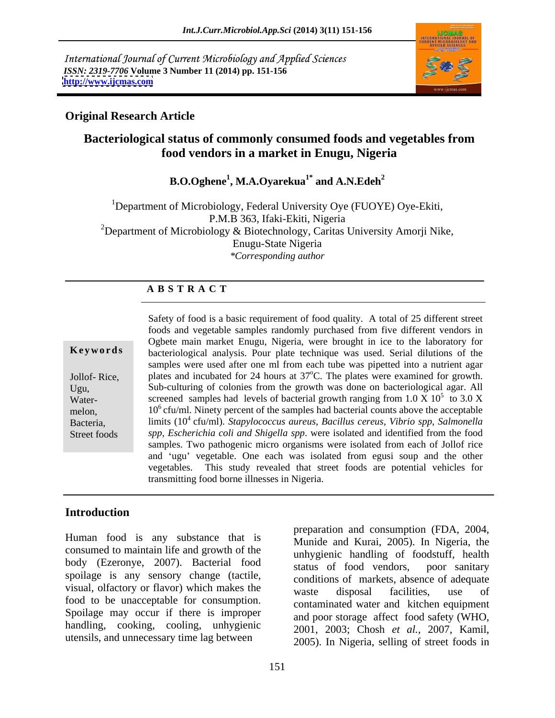International Journal of Current Microbiology and Applied Sciences *ISSN: 2319-7706* **Volume 3 Number 11 (2014) pp. 151-156 <http://www.ijcmas.com>**



## **Original Research Article**

# **Bacteriological status of commonly consumed foods and vegetables from food vendors in a market in Enugu, Nigeria**

 **B.O.Oghene1 , M.A.Oyarekua1\* and A.N.Edeh<sup>2</sup>**

<sup>1</sup>Department of Microbiology, Federal University Oye (FUOYE) Oye-Ekiti, P.M.B 363, Ifaki-Ekiti, Nigeria <sup>2</sup>Department of Microbiology & Biotechnology, Caritas University Amorji Nike, Enugu-State Nigeria *\*Corresponding author*

### **A B S T R A C T**

**Keywords** bacteriological analysis. Pour plate technique was used. Serial dilutions of the Jollof- Rice, plates and incubated for 24 hours at 37°C. The plates were examined for growth. Ugu, Sub-culturing of colonies from the growth was done on bacteriological agar. All Water- screened samples had levels of bacterial growth ranging from  $1.0 \text{ X } 10^5$  to  $3.0 \text{ X}$ melon, 10<sup>6</sup> cfu/ml. Ninety percent of the samples had bacterial counts above the acceptable Bacteria, limits (10 4 cfu/ml). *Stapylococcus aureus*, *Bacillus cereus, Vibrio spp, Salmonella* Street foods *spp, Escherichia coli and Shigella spp*. were isolated and identified from the food Safety of food is a basic requirement of food quality. A total of 25 different street foods and vegetable samples randomly purchased from five different vendors in Ogbete main market Enugu, Nigeria, were brought in ice to the laboratory for samples were used after one ml from each tube was pipetted into a nutrient agar  $\frac{5}{10}$  2 0 V to 3.0 X samples. Two pathogenic micro organisms were isolated from each of Jollof rice and 'ugu' vegetable. One each was isolated from egusi soup and the other vegetables. This study revealed that street foods are potential vehicles for transmitting food borne illnesses in Nigeria.

## **Introduction**

Human food is any substance that is consumed to maintain life and growth of the body (Ezeronye, 2007). Bacterial food status of food vendors, poor sanitary spoilage is any sensory change (tactile, visual, olfactory or flavor) which makes the waste disposal facilities, use of food to be unacceptable for consumption. Spoilage may occur if there is improper handling, cooking, cooling, unhygienic  $2001$ ,  $2003$ ; Chosh et al., 2007, Kamil,

utensils, and unnecessary time lag between 2005). In Nigeria, selling of street foods in preparation and consumption (FDA, 2004, Munide and Kurai, 2005). In Nigeria, the unhygienic handling of foodstuff, health status of food vendors, poor sanitary conditions of markets, absence of adequate waste disposal facilities, use of contaminated water and kitchen equipment and poor storage affect food safety (WHO, 2001, 2003; Chosh *et al.,* 2007, Kamil, 2005). In Nigeria, selling of street foods in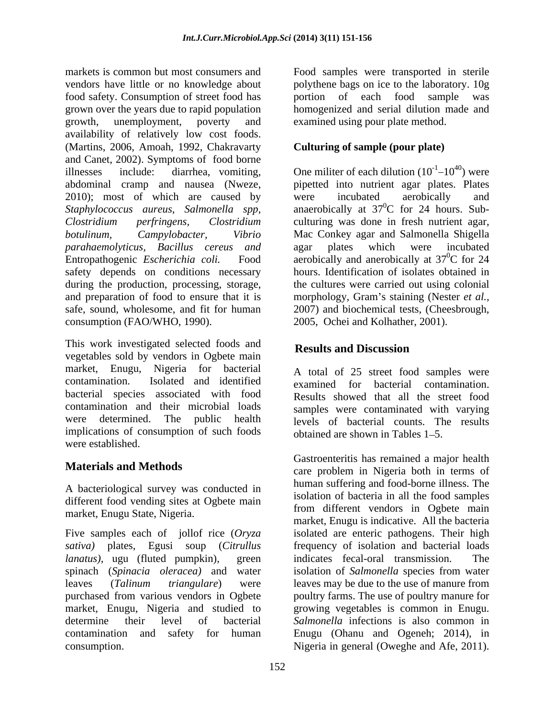markets is common but most consumers and Food samples were transported in sterile vendors have little or no knowledge about polythene bags on ice to the laboratory. 10g food safety. Consumption of street food has grown over the years due to rapid population homogenized and serial dilution made and growth, unemployment, poverty and examined using pour plate method. availability of relatively low cost foods. (Martins, 2006, Amoah, 1992, Chakravarty and Canet, 2002). Symptoms of food borne illnesses include: diarrhea, vomiting, One militer of each dilution  $(10^{-1} - 10^{40})$  were abdominal cramp and nausea (Nweze, pipetted into nutrient agar plates. Plates 2010); most of which are caused by were incubated aerobically and *Staphylococcus aureus, Salmonella spp, Clostridium perfringens, Clostridium*  culturing was done in fresh nutrient agar, *botulinum, Campylobacter, Vibrio*  Mac Conkey agar and Salmonella Shigella *parahaemolyticus, Bacillus cereus and* Entropathogenic *Escherichia coli*. Food aerobically and anerobically at 37<sup>o</sup>C for 24 safety depends on conditions necessary during the production, processing, storage, the cultures were carried out using colonial and preparation of food to ensure that it is morphology, Gram's staining (Nester *et al.,* safe, sound, wholesome, and fit for human 2007) and biochemical tests, (Cheesbrough, consumption (FAO/WHO, 1990). 2005, Ochei and Kolhather, 2001).

This work investigated selected foods and **Results and Discussion** vegetables sold by vendors in Ogbete main market, Enugu, Nigeria for bacterial contamination. Isolated and identified examined for bacterial contamination. bacterial species associated with food contamination and their microbial loads samples were contaminated with varying were determined. The public health implications of consumption of such foods were established.

A bacteriological survey was conducted in different food vending sites at Ogbete main market, Enugu State, Nigeria.

*sativa)* plates, Egusi soup (*Citrullus* 

portion of each food sample was

# **Culturing of sample (pour plate)**

 $10^{40}$ ) were were incubated aerobically and anaerobically at  $37^0C$  for 24 hours. Sub- ${}^{0}C$  for 24 hours. Subagar plates which were incubated  $\rm{^{0}C}$  for 24 hours. Identification of isolates obtained in

# **Results and Discussion**

A total of 25 street food samples were examined for bacterial contamination. Results showed that all the street food levels of bacterial counts. The results obtained are shown in Tables  $1-5$ .

**Materials and Methods** care problem in Nigeria both in terms of Five samples each of jollof rice (*Oryza*  isolated are enteric pathogens. Their high *lanatus*), ugu (fluted pumpkin), green indicates fecal-oral transmission. The spinach (*Spinacia oleracea)* and water isolation of *Salmonella* species from water leaves (*Talinum triangulare*) were leaves may be due to the use of manure from purchased from various vendors in Ogbete poultry farms. The use of poultry manure for market, Enugu, Nigeria and studied to growing vegetables is common in Enugu. determine their level of bacterial *Salmonella* infections is also common in contamination and safety for human Enugu (Ohanu and Ogeneh; 2014), in consumption. Nigeria in general (Oweghe and Afe, 2011).Gastroenteritis has remained a major health human suffering and food-borne illness. The isolation of bacteria in all the food samples from different vendors in Ogbete main market, Enugu is indicative. All the bacteria frequency of isolation and bacterial loads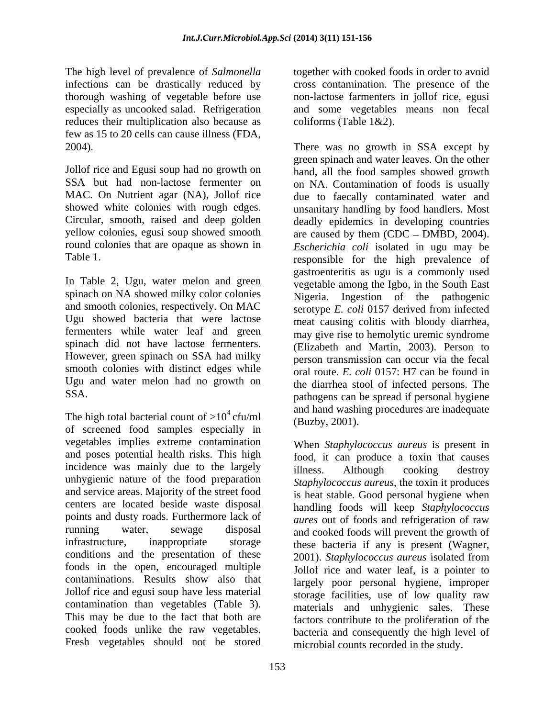The high level of prevalence of *Salmonella*  infections can be drastically reduced by thorough washing of vegetable before use reduces their multiplication also because as few as 15 to 20 cells can cause illness (FDA,

and smooth colonies, respectively. On MAC Ugu showed bacteria that were lactose spinach did not have lactose fermenters. smooth colonies with distinct edges while Ugu and water melon had no growth on

The high total bacterial count of  $>10^4$  cfu/ml of screened food samples especially in vegetables implies extreme contamination and poses potential health risks. This high incidence was mainly due to the largely illness. Although cooking destroy unhygienic nature of the food preparation and service areas. Majority of the street food centers are located beside waste disposal points and dusty roads. Furthermore lack of conditions and the presentation of these contaminations. Results show also that contamination than vegetables (Table 3). Fresh vegetables should not be stored

especially as uncooked salad. Refrigeration and some vegetables means non fecal together with cooked foods in order to avoid cross contamination. The presence of the non-lactose farmenters in jollof rice, egusi coliforms (Table 1&2).

2004). There was no growth in SSA except by Jollof rice and Egusi soup had no growth on hand, all the food samples showed growth SSA but had non-lactose fermenter on on NA. Contamination of foods is usually MAC. On Nutrient agar (NA), Jollof rice due to faecally contaminated water and showed white colonies with rough edges. The unsanitary handling by food handlers. Most<br>Circular, smooth, raised and deep golden deadly epidemics in developing countries yellow colonies, egusi soup showed smooth  $\alpha$  are caused by them (CDC – DMBD, 2004). round colonies that are opaque as shown in *Escherichia coli* isolated in ugu may be Table 1.<br>In Table 2, Ugu, water melon and green<br>In Table 2, Ugu, water melon and green<br>In Table 2, Ugu, water melon and green<br>In Table 2, Ugu, water melon and green<br>In the Isho, in the South East spinach on NA showed milky color colonies Nigeria. Ingestion of the pathogenic fermenters while water leaf and green may give rise to hemolytic uremic syndrome However, green spinach on SSA had milky person transmission can occur via the fecal SSA. pathogens can be spread if personal hygiene <sup>4</sup> cfu/ml and hand washing procedures are inadequate<br> $\frac{(B_{11} + B_{12})}{(B_{11} + B_{12})}$ green spinach and water leaves. On the other unsanitary handling by food handlers. Most deadly epidemics in developing countries responsible for the high prevalence of gastroenteritis as ugu is a commonly used vegetable among the Igbo, in the South East serotype *E. coli* 0157 derived from infected meat causing colitis with bloody diarrhea, (Elizabeth and Martin, 2003). Person to oral route. *E. coli* 0157: H7 can be found in the diarrhea stool of infected persons. The (Buzby, 2001).

running water, sewage disposal and cooked foods will prevent the growth of infrastructure, inappropriate storage these bacteria if any is present (Wagner, foods in the open, encouraged multiple Jollof rice and water leaf, is a pointer to Jollof rice and egusi soup have less material storage facilities, use of low quality raw This may be due to the fact that both are factors contribute to the proliferation of the cooked foods unlike the raw vegetables. bacteria and consequently the high level of When *Staphylococcus aureus* is present in food, it can produce a toxin that causes illness. Although cooking destroy *Staphylococcus aureus*, the toxin it produces is heat stable. Good personal hygiene when handling foods will keep *Staphylococcus aures* out of foods and refrigeration of raw 2001). *Staphylococcus aureus* isolated from largely poor personal hygiene, improper materials and unhygienic sales. These microbial counts recorded in the study.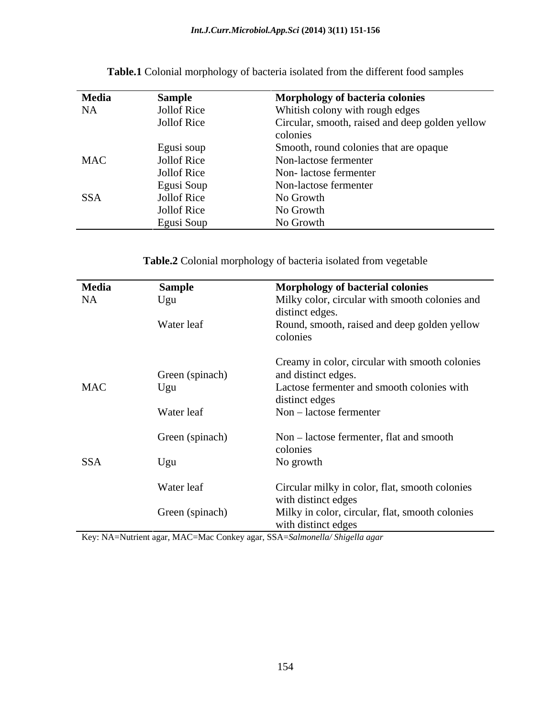| <b>Media</b> | Sample             | <b>Morphology of bacteria colonies</b>          |
|--------------|--------------------|-------------------------------------------------|
| <b>NA</b>    | Jollof Rice        | Whitish colony with rough edges                 |
|              | <b>Jollof Rice</b> | Circular, smooth, raised and deep golden yellow |
|              |                    | colonies                                        |
|              | Egusi soup         | Smooth, round colonies that are opaque          |
| <b>MAC</b>   | Jollof Rice        | Non-lactose fermenter                           |
|              | Jollof Rice        | Non-lactose fermenter                           |
|              | Egusi Soup         | Non-lactose fermenter                           |
| <b>SSA</b>   | Jollof Rice        | No Growth                                       |
|              | <b>Jollof Rice</b> | No Growth                                       |
|              | Egusi Soup         | No Growth                                       |

**Table.1** Colonial morphology of bacteria isolated from the different food samples

**Table.2** Colonial morphology of bacteria isolated from vegetable

| Media      | Sample          | Morphology of bacterial colonies                                       |
|------------|-----------------|------------------------------------------------------------------------|
| NA         | Ugu             | Milky color, circular with smooth colonies and<br>distinct edges.      |
|            | Water leaf      | Round, smooth, raised and deep golden yellow                           |
|            |                 | colonies                                                               |
|            |                 | Creamy in color, circular with smooth colonies                         |
|            | Green (spinach) | and distinct edges.                                                    |
| <b>MAC</b> | Ugu             | Lactose fermenter and smooth colonies with                             |
|            |                 | distinct edges                                                         |
|            | Water leaf      | Non-lactose fermenter                                                  |
|            | Green (spinach) | Non - lactose fermenter, flat and smooth                               |
|            |                 | colonies                                                               |
| <b>SSA</b> | Ugu             | No growth                                                              |
|            | Water leaf      | Circular milky in color, flat, smooth colonies                         |
|            |                 | with distinct edges                                                    |
|            | Green (spinach) | Milky in color, circular, flat, smooth colonies<br>with distinct edges |

Key: NA=Nutrient agar, MAC=Mac Conkey agar, SSA=*Salmonella/ Shigella agar*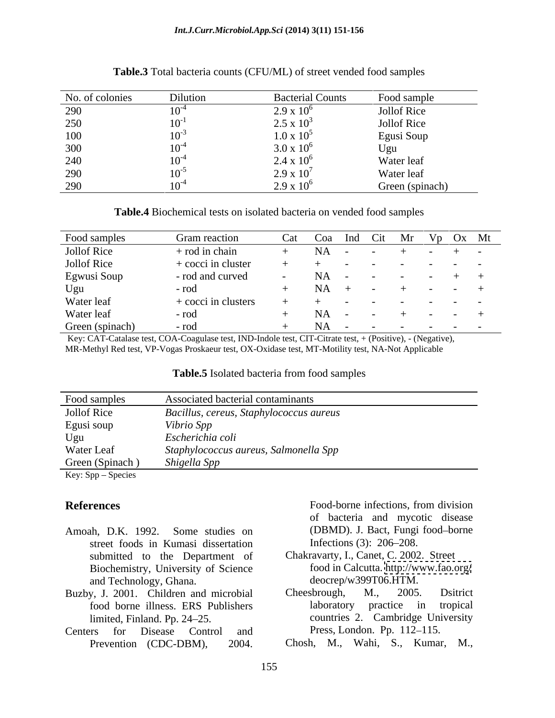### *Int.J.Curr.Microbiol.App.Sci* **(2014) 3(11) 151-156**

| No. of colonies | Dilution  | <b>Bacterial Counts</b> | Food sample        |
|-----------------|-----------|-------------------------|--------------------|
| 290             | 107       | $2.9 \times 10^{6}$     | Jollof Rice        |
| 250             | $10^{-}$  | $2.5 \times 10^3$       | <b>Jollof Rice</b> |
| 100             | $10^{-7}$ | $1.0 \times 10^5$       | Egusi Soup         |
| 300             | 107       | $3.0 \times 10^6$       | Ugu                |
| 240             | $10^{-4}$ | $2.4 \times 10^6$       | Water leaf         |
| 290             | $10^{-5}$ | $2.9 \times 10^{7}$     | Water leaf         |
| 290             | $10^{-}$  | $2.9 \times 10^{6}$     | Green (spinach)    |

### **Table.3** Total bacteria counts (CFU/ML) of street vended food samples

**Table.4** Biochemical tests on isolated bacteria on vended food samples

| Food samples       | Gram reaction Cat Coa Ind Cit Mr Vp Ox Mt |                                                                                                                                                                                                                                  |  |  |  |
|--------------------|-------------------------------------------|----------------------------------------------------------------------------------------------------------------------------------------------------------------------------------------------------------------------------------|--|--|--|
| <b>Jollof Rice</b> | $+$ rod in chain                          | $+$ NA - - + - + -                                                                                                                                                                                                               |  |  |  |
| Jollof Rice        | + cocci in cluster                        |                                                                                                                                                                                                                                  |  |  |  |
| Egwusi Soup        | - rod and curved                          | $NA$ - - - - + +                                                                                                                                                                                                                 |  |  |  |
| Ugu                | - rod                                     | $-NA + - + - - +$                                                                                                                                                                                                                |  |  |  |
| Water leaf         |                                           | $\frac{1}{2}$ . The set of the set of the set of the set of the set of the set of the set of the set of the set of the set of the set of the set of the set of the set of the set of the set of the set of the set of the set of |  |  |  |
| Water leaf         | - rod                                     | $NA - - + - - +$                                                                                                                                                                                                                 |  |  |  |
| Green (spinach)    | $+$ NA - - - - - - -<br>- rod             |                                                                                                                                                                                                                                  |  |  |  |

 Key: CAT-Catalase test, COA-Coagulase test, IND-Indole test, CIT-Citrate test, + (Positive), - (Negative), MR-Methyl Red test, VP-Vogas Proskaeur test, OX-Oxidase test, MT-Motility test, NA-Not Applicable

### **Table.5** Isolated bacteria from food samples

| Food samples       | Associated bacterial contaminants       |
|--------------------|-----------------------------------------|
| Jollof Rice        | Bacillus, cereus, Staphylococcus aureus |
| Egusi soup         | Vibrio Spp                              |
| Ugu                | Escherichia coli                        |
| Water Leaf         | Staphylococcus aureus, Salmonella Spp   |
| Green (Spinach)    | Shigella Spp                            |
| Key: Spp – Species |                                         |

- street foods in Kumasi dissertation Infections (3): 206–208. submitted to the Department of Biochemistry, University of Science **Fences**<br> **Food-borne infections, from division**<br> **of** bacteria and mycotic disease<br>
street foods in Kumasi dissertation<br> **EXEC SEC SECUTE 100**<br> **EXEC SECUTE 100**<br> **EXEC SECUTE 100**<br> **EXEC SECUTE 100**<br> **EXEC SECUTE 100**<br>
- and Technology, Ghana. deocrep/w399TC<br>v, J. 2001. Children and microbial Cheesbrough, M.,
- Centers for Disease Control and Press, London. Pp. 112–115.

**References** Food-borne infections, from division Amoah, D.K. 1992. Some studies on (DBMD). J. Bact, Fungi food-borne of bacteria and mycotic disease Infections (3):  $206 - 208$ .

- Chakravarty, I., Canet, C. 2002. Street food in Calcutta.<http://www.fao.org/> deocrep/w399T06.HTM.
- Buzby, J. 2001. Children and microbial Cheesbrough, M., 2005. Dsitrict food borne illness. ERS Publishers limited, Finland. Pp. 24 25. countries 2. Cambridge University Cheesbrough, M., 2005. Dsitrict laboratory practice in Press, London. Pp. 112–115.

Chosh, M., Wahi, S., Kumar, M.,